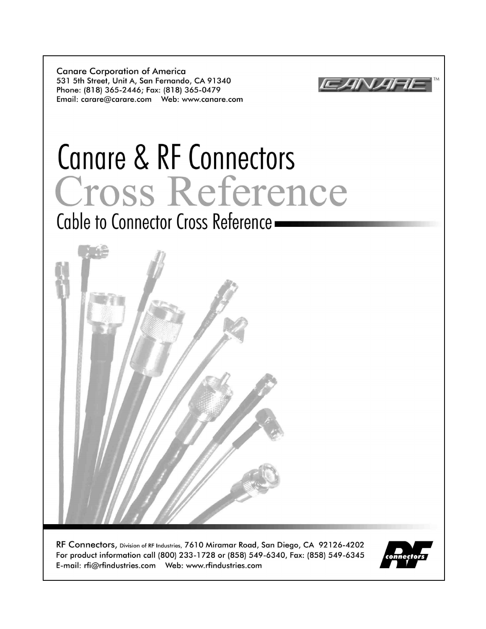**Canare Corporation of America** 531 5th Street, Unit A, San Fernando, CA 91340 Phone: (818) 365-2446; Fax: (818) 365-0479 



# Canare & RF Connectors Cross Reference

Cable to Connector Cross Reference -



RF Connectors, Division of RF Industries, 7610 Miramar Road, San Diego, CA 92126-4202 For product information call (800) 233-1728 or (858) 549-6340, Fax: (858) 549-6345 

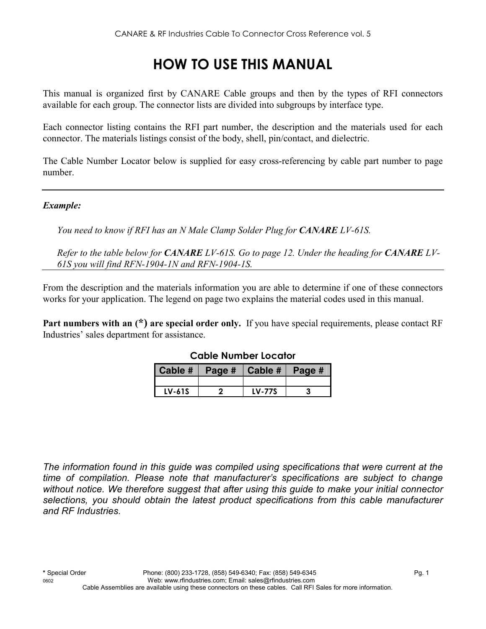## **HOW TO USE THIS MANUAL**

This manual is organized first by CANARE Cable groups and then by the types of RFI connectors available for each group. The connector lists are divided into subgroups by interface type.

Each connector listing contains the RFI part number, the description and the materials used for each connector. The materials listings consist of the body, shell, pin/contact, and dielectric.

The Cable Number Locator below is supplied for easy cross-referencing by cable part number to page number.

#### *Example:*

*You need to know if RFI has an N Male Clamp Solder Plug for CANARE LV-61S.* 

*Refer to the table below for CANARE LV-61S. Go to page 12. Under the heading for CANARE LV-61S you will find RFN-1904-1N and RFN-1904-1S.* 

From the description and the materials information you are able to determine if one of these connectors works for your application. The legend on page two explains the material codes used in this manual.

**Part numbers with an (\*) are special order only.** If you have special requirements, please contact RF Industries' sales department for assistance.

| Cable # | Page # $ $ Cable # $ $ Page # |               |  |
|---------|-------------------------------|---------------|--|
|         |                               |               |  |
| LV-61S  |                               | <b>LV-77S</b> |  |

#### **Cable Number Locator**

*The information found in this guide was compiled using specifications that were current at the time of compilation. Please note that manufacturer's specifications are subject to change without notice. We therefore suggest that after using this guide to make your initial connector selections, you should obtain the latest product specifications from this cable manufacturer and RF Industries.*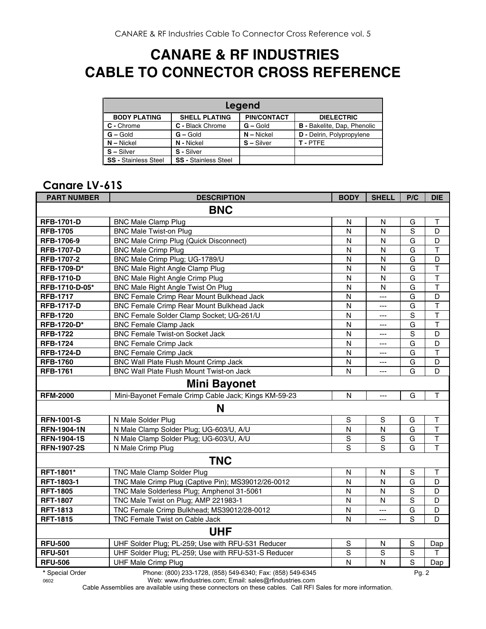### **CANARE & RF INDUSTRIES CABLE TO CONNECTOR CROSS REFERENCE**

| Legend                      |                             |                    |                                    |  |  |
|-----------------------------|-----------------------------|--------------------|------------------------------------|--|--|
| <b>BODY PLATING</b>         | <b>SHELL PLATING</b>        | <b>PIN/CONTACT</b> | <b>DIELECTRIC</b>                  |  |  |
| C - Chrome                  | C - Black Chrome            | $G - Gold$         | <b>B</b> - Bakelite, Dap, Phenolic |  |  |
| $G - Gold$                  | $G -$ Gold                  | $N -$ Nickel       | <b>D</b> - Delrin, Polypropylene   |  |  |
| $N - Nickel$                | N - Nickel                  | $S - Silver$       | T-PTFF                             |  |  |
| $S - Silver$                | S - Silver                  |                    |                                    |  |  |
| <b>SS</b> - Stainless Steel | <b>SS - Stainless Steel</b> |                    |                                    |  |  |

#### **Canare LV-61S**

| <b>PART NUMBER</b>  | <b>DESCRIPTION</b>                                   | <b>BODY</b>    | <b>SHELL</b>   | P/C         | <b>DIE</b>              |
|---------------------|------------------------------------------------------|----------------|----------------|-------------|-------------------------|
| <b>BNC</b>          |                                                      |                |                |             |                         |
| <b>RFB-1701-D</b>   | <b>BNC Male Clamp Plug</b>                           | N              | N              | G           | Т                       |
| <b>RFB-1705</b>     | <b>BNC Male Twist-on Plug</b>                        | N              | N              | S           | D                       |
| RFB-1706-9          | <b>BNC Male Crimp Plug (Quick Disconnect)</b>        | N              | N              | G           | D                       |
| <b>RFB-1707-D</b>   | <b>BNC Male Crimp Plug</b>                           | N              | N              | G           | $\top$                  |
| <b>RFB-1707-2</b>   | BNC Male Crimp Plug; UG-1789/U                       | N              | N              | G           | D                       |
| RFB-1709-D*         | <b>BNC Male Right Angle Clamp Plug</b>               | N              | N              | G           | $\top$                  |
| <b>RFB-1710-D</b>   | <b>BNC Male Right Angle Crimp Plug</b>               | N              | N              | G           | T                       |
| RFB-1710-D-05*      | BNC Male Right Angle Twist On Plug                   | N              | N              | G           | $\top$                  |
| <b>RFB-1717</b>     | <b>BNC Female Crimp Rear Mount Bulkhead Jack</b>     | N              | $\overline{a}$ | G           | D                       |
| <b>RFB-1717-D</b>   | BNC Female Crimp Rear Mount Bulkhead Jack            | $\mathsf{N}$   | ---            | G           | $\top$                  |
| <b>RFB-1720</b>     | BNC Female Solder Clamp Socket; UG-261/U             | N              | ---            | $\mathbf S$ | $\top$                  |
| RFB-1720-D*         | <b>BNC Female Clamp Jack</b>                         | N              | ---            | G           | $\top$                  |
| <b>RFB-1722</b>     | <b>BNC Female Twist-on Socket Jack</b>               | N              | ---            | S           | D                       |
| <b>RFB-1724</b>     | <b>BNC Female Crimp Jack</b>                         | $\mathsf{N}$   | ---            | G           | D                       |
| <b>RFB-1724-D</b>   | <b>BNC Female Crimp Jack</b>                         | $\mathsf{N}$   | $\overline{a}$ | G           | $\mathsf{T}$            |
| <b>RFB-1760</b>     | BNC Wall Plate Flush Mount Crimp Jack                | ${\sf N}$      | ---            | G           | D                       |
| <b>RFB-1761</b>     | <b>BNC Wall Plate Flush Mount Twist-on Jack</b>      | N              | $---$          | G           | D                       |
| <b>Mini Bayonet</b> |                                                      |                |                |             |                         |
| <b>RFM-2000</b>     | Mini-Bayonet Female Crimp Cable Jack; Kings KM-59-23 | N              | $---$          | G           | T                       |
|                     | N                                                    |                |                |             |                         |
| <b>RFN-1001-S</b>   | N Male Solder Plug                                   | $\mathsf S$    | $\mathsf S$    | G           | T                       |
| <b>RFN-1904-1N</b>  | N Male Clamp Solder Plug; UG-603/U, A/U              | $\mathsf{N}$   | N              | G           | T                       |
| <b>RFN-1904-1S</b>  | N Male Clamp Solder Plug; UG-603/U, A/U              | $\mathbf S$    | S              | G           | $\overline{\mathsf{T}}$ |
| <b>RFN-1907-2S</b>  | N Male Crimp Plug                                    | S              | S              | G           | $\mathsf{T}$            |
|                     | <b>TNC</b>                                           |                |                |             |                         |
| RFT-1801*           | <b>TNC Male Clamp Solder Plug</b>                    | N              | N              | S           | $\mathsf T$             |
| RFT-1803-1          | TNC Male Crimp Plug (Captive Pin); MS39012/26-0012   | N              | N              | G           | D                       |
| <b>RFT-1805</b>     | TNC Male Solderless Plug; Amphenol 31-5061           | $\overline{N}$ | N              | S           | D                       |
| <b>RFT-1807</b>     | TNC Male Twist on Plug; AMP 221983-1                 | N              | N              | $\mathbf S$ | D                       |
| <b>RFT-1813</b>     | TNC Female Crimp Bulkhead; MS39012/28-0012           | $\mathsf{N}$   | $\overline{a}$ | G           | D                       |
| <b>RFT-1815</b>     | TNC Female Twist on Cable Jack                       | $\mathsf{N}$   | $---$          | S           | D                       |
| <b>UHF</b>          |                                                      |                |                |             |                         |
| <b>RFU-500</b>      | UHF Solder Plug; PL-259; Use with RFU-531 Reducer    | $\mathbf S$    | N              | S           | Dap                     |
| <b>RFU-501</b>      | UHF Solder Plug; PL-259; Use with RFU-531-S Reducer  | $\mathbf S$    | S              | $\mathbf S$ | Τ                       |
| <b>RFU-506</b>      | <b>UHF Male Crimp Plug</b>                           | N              | N              | S           | Dap                     |
| $\cdots$            | DL (888) 888 1788 (858) 518 8818 E (858) 518 8815    |                |                | $\sim$      |                         |

**\*** Special Order Phone: (800) 233-1728, (858) 549-6340; Fax: (858) 549-6345 Pg. 2

0602 Web: www.rfindustries.com; Email: sales@rfindustries.com

Cable Assemblies are available using these connectors on these cables. Call RFI Sales for more information.